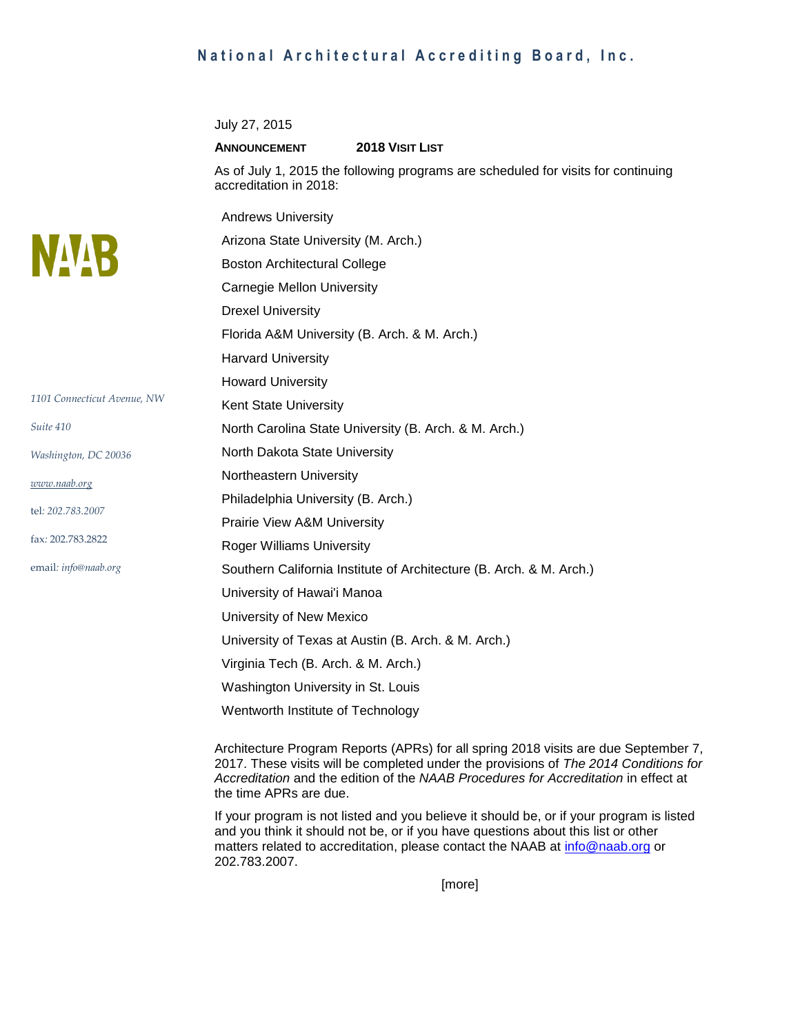## **National Architectural Accrediting Board, Inc.**

July 27, 2015

## **ANNOUNCEMENT 2018 VISIT LIST**

As of July 1, 2015 the following programs are scheduled for visits for continuing accreditation in 2018:

|                             | <b>Andrews University</b>                                           |
|-----------------------------|---------------------------------------------------------------------|
| <b>NAVR</b>                 | Arizona State University (M. Arch.)                                 |
|                             | <b>Boston Architectural College</b>                                 |
|                             | <b>Carnegie Mellon University</b>                                   |
|                             | <b>Drexel University</b>                                            |
|                             | Florida A&M University (B. Arch. & M. Arch.)                        |
|                             | <b>Harvard University</b>                                           |
|                             | <b>Howard University</b>                                            |
| 1101 Connecticut Avenue, NW | Kent State University                                               |
| Suite 410                   | North Carolina State University (B. Arch. & M. Arch.)               |
| Washington, DC 20036        | North Dakota State University                                       |
| www.naab.org                | Northeastern University                                             |
|                             | Philadelphia University (B. Arch.)                                  |
| tel: 202.783.2007           | Prairie View A&M University                                         |
| fax: 202.783.2822           | <b>Roger Williams University</b>                                    |
| email: info@naab.org        | Southern California Institute of Architecture (B. Arch. & M. Arch.) |
|                             | University of Hawai'i Manoa                                         |
|                             | University of New Mexico                                            |
|                             | University of Texas at Austin (B. Arch. & M. Arch.)                 |
|                             | Virginia Tech (B. Arch. & M. Arch.)                                 |
|                             | Washington University in St. Louis                                  |
|                             | Wentworth Institute of Technology                                   |

Architecture Program Reports (APRs) for all spring 2018 visits are due September 7, 2017. These visits will be completed under the provisions of *The 2014 Conditions for Accreditation* and the edition of the *NAAB Procedures for Accreditation* in effect at the time APRs are due.

If your program is not listed and you believe it should be, or if your program is listed and you think it should not be, or if you have questions about this list or other matters related to accreditation, please contact the NAAB at [info@naab.org](mailto:info@naab.org) or 202.783.2007.

[more]